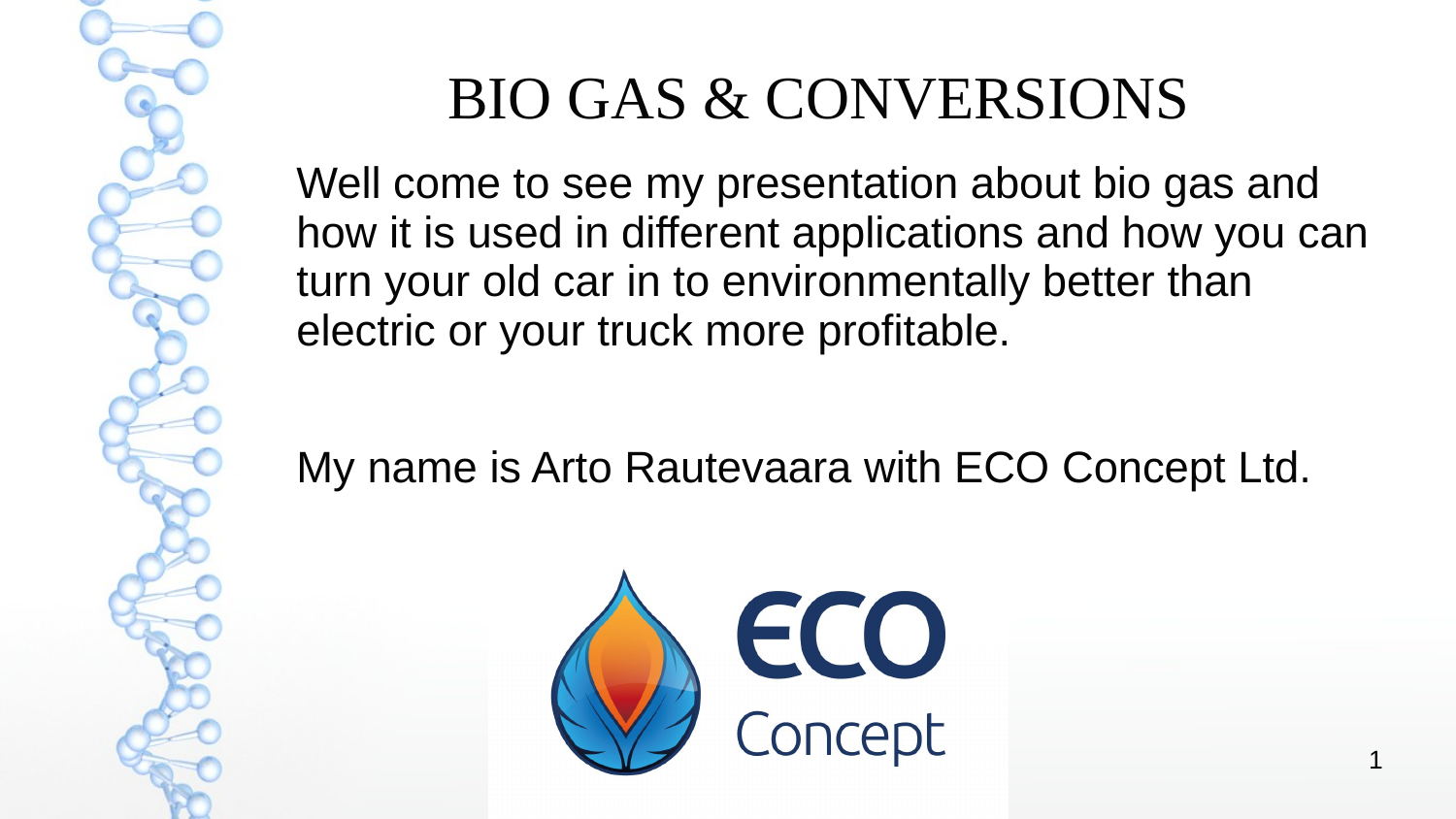

#### BIO GAS & CONVERSIONS

Well come to see my presentation about bio gas and how it is used in different applications and how you can turn your old car in to environmentally better than electric or your truck more profitable.

My name is Arto Rautevaara with ECO Concept Ltd.

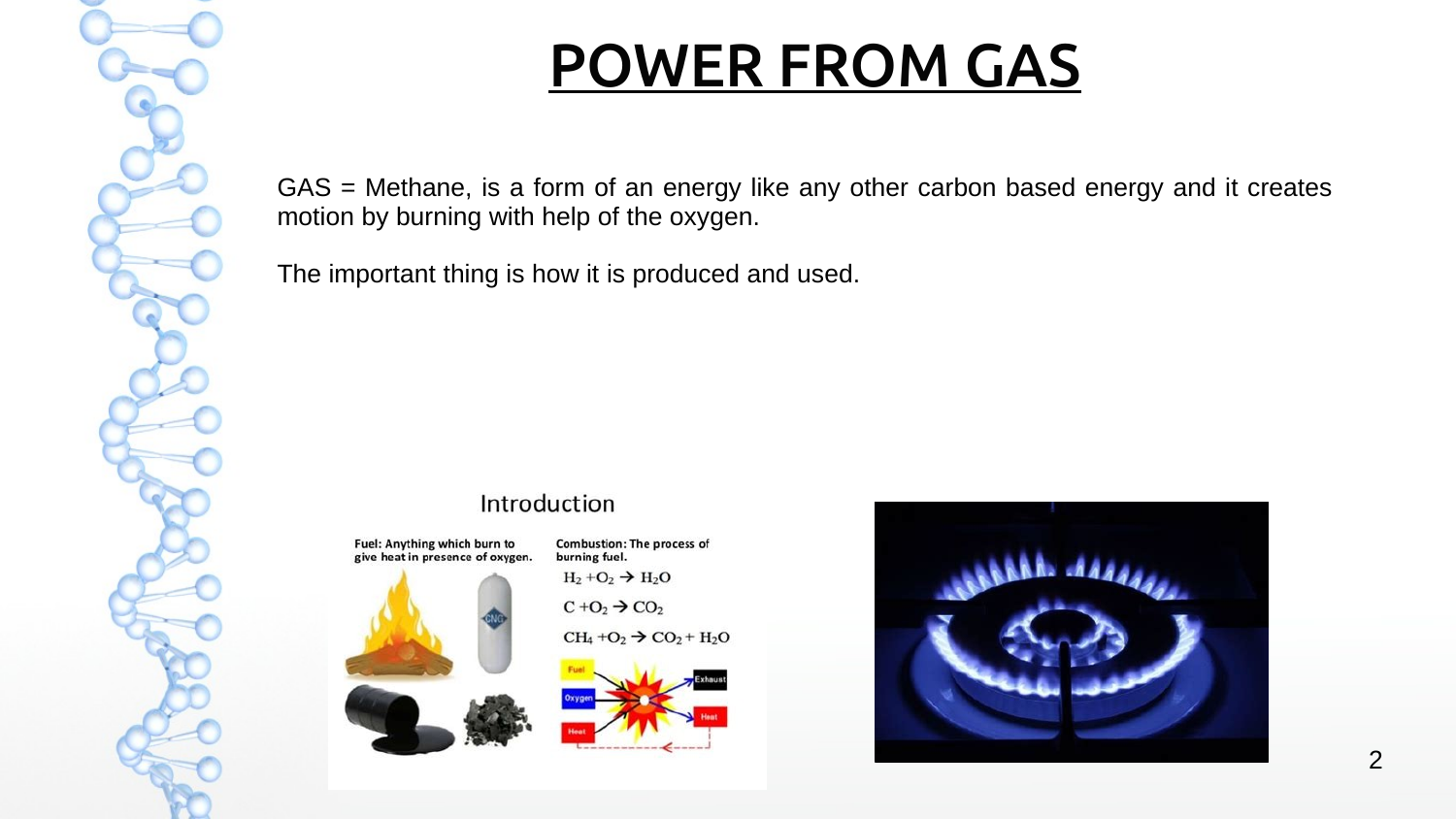# POWER FROM GAS

GAS = Methane, is a form of an energy like any other carbon based energy and it creates motion by burning with help of the oxygen.

The important thing is how it is produced and used.

#### Introduction

Fuel: Anything which burn to give heat in presence of oxygen.





 $H_2 + O_2 \rightarrow H_2O$  $C + O_2 \rightarrow CO_2$  $CH_4 + O_2 \rightarrow CO_2 + H_2O$ 

**Combustion: The process of** 

burning fuel.



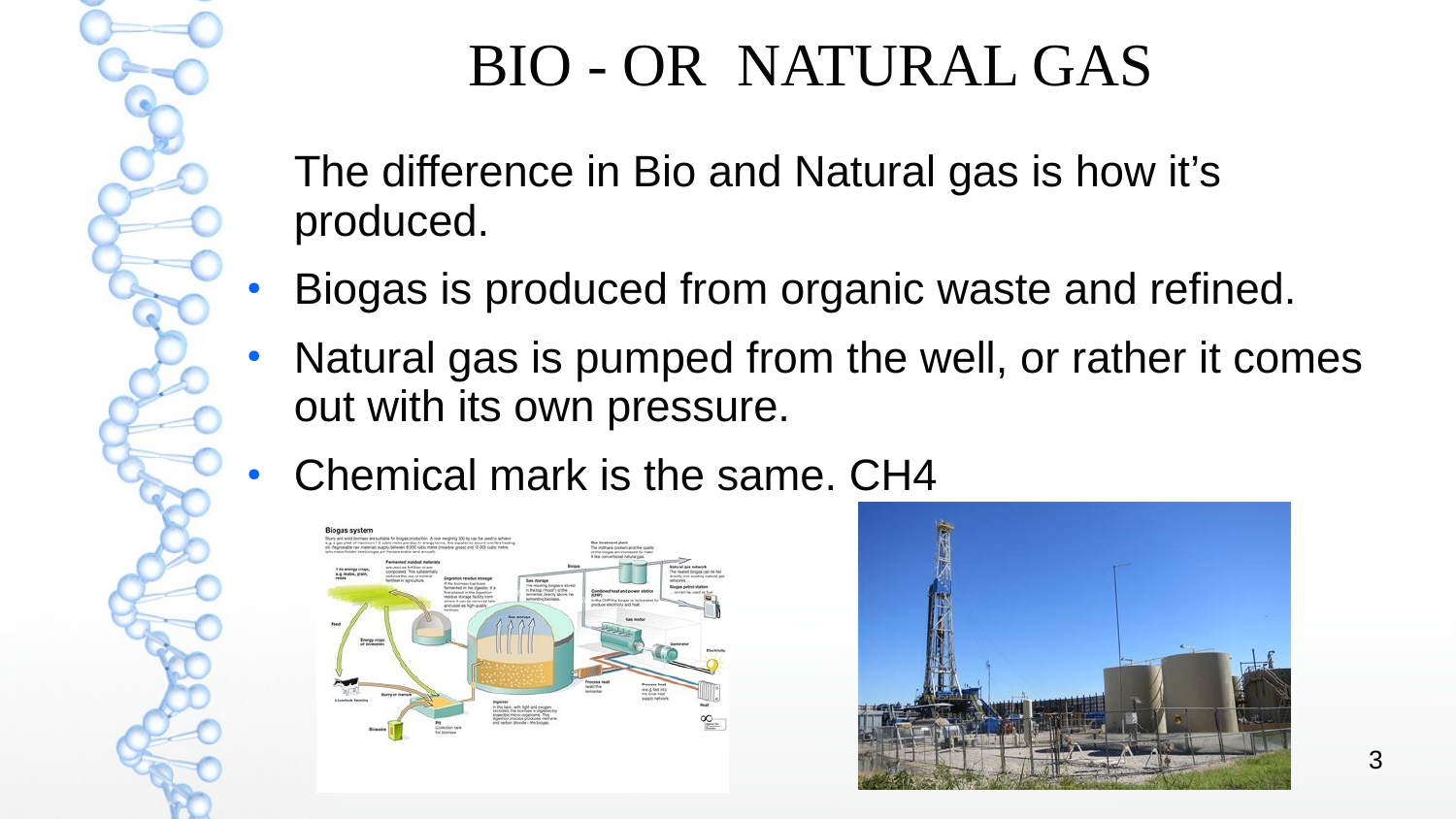### BIO - OR NATURAL GAS

The difference in Bio and Natural gas is how it's produced.

- Biogas is produced from organic waste and refined.
- Natural gas is pumped from the well, or rather it comes out with its own pressure.
- Chemical mark is the same. CH4



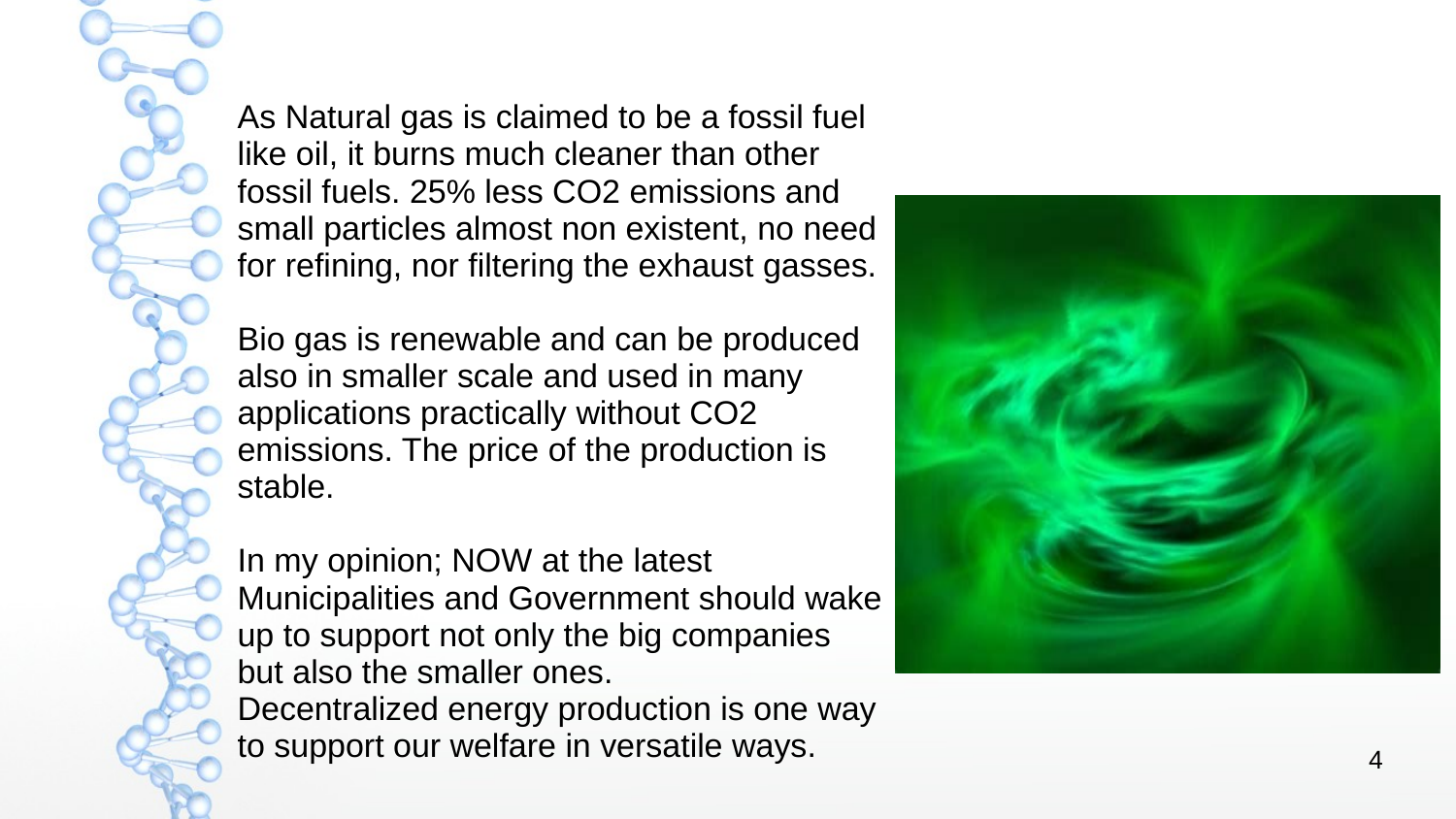As Natural gas is claimed to be a fossil fuel like oil, it burns much cleaner than other fossil fuels. 25% less CO2 emissions and small particles almost non existent, no need for refining, nor filtering the exhaust gasses.

Bio gas is renewable and can be produced also in smaller scale and used in many applications practically without CO2 emissions. The price of the production is stable.

In my opinion; NOW at the latest Municipalities and Government should wake up to support not only the big companies but also the smaller ones. Decentralized energy production is one way to support our welfare in versatile ways.

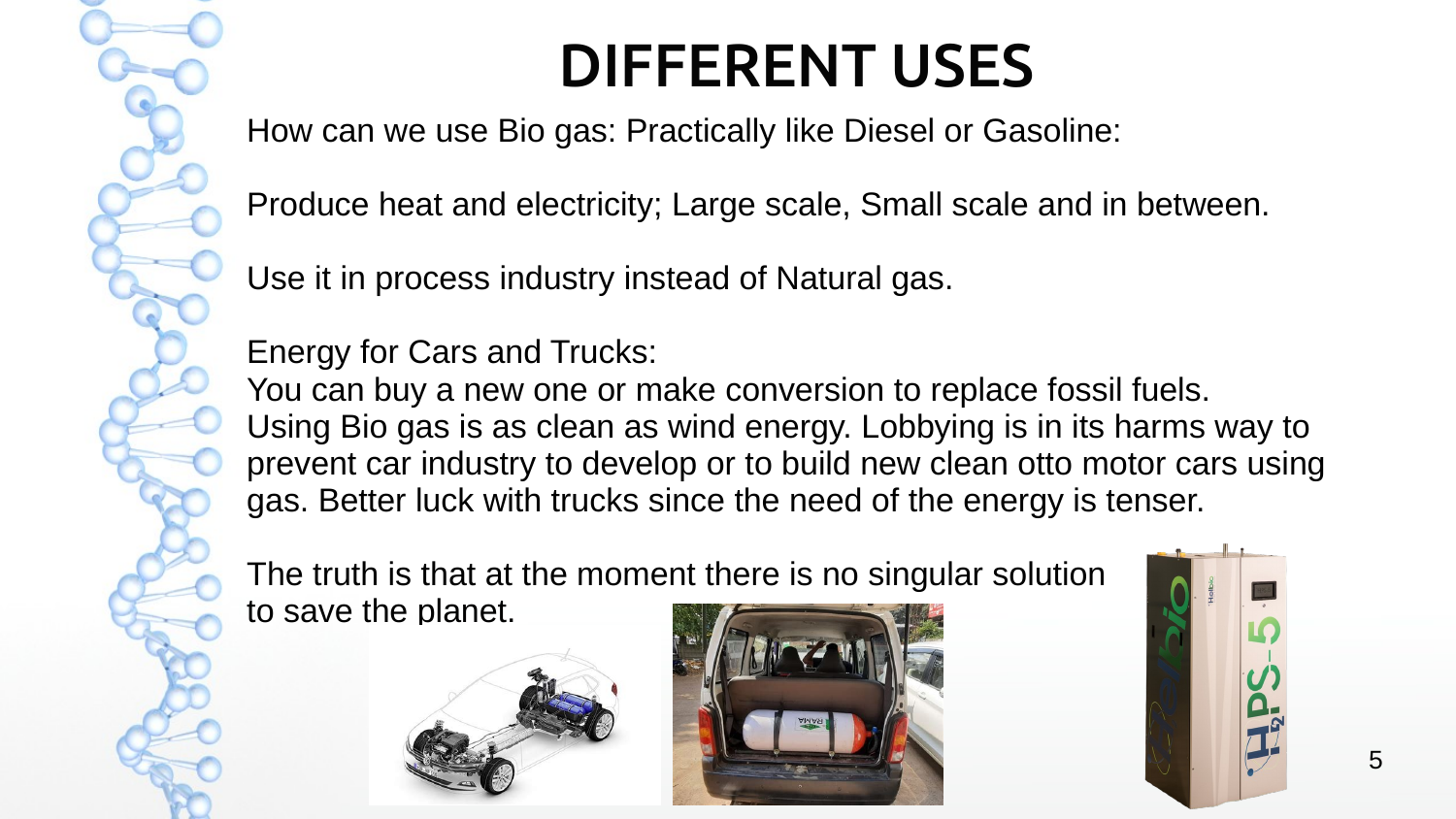

# DIFFERENT USES

How can we use Bio gas: Practically like Diesel or Gasoline:

Produce heat and electricity; Large scale, Small scale and in between.

Use it in process industry instead of Natural gas.

Energy for Cars and Trucks:

You can buy a new one or make conversion to replace fossil fuels. Using Bio gas is as clean as wind energy. Lobbying is in its harms way to prevent car industry to develop or to build new clean otto motor cars using gas. Better luck with trucks since the need of the energy is tenser.

The truth is that at the moment there is no singular solution to save the planet.





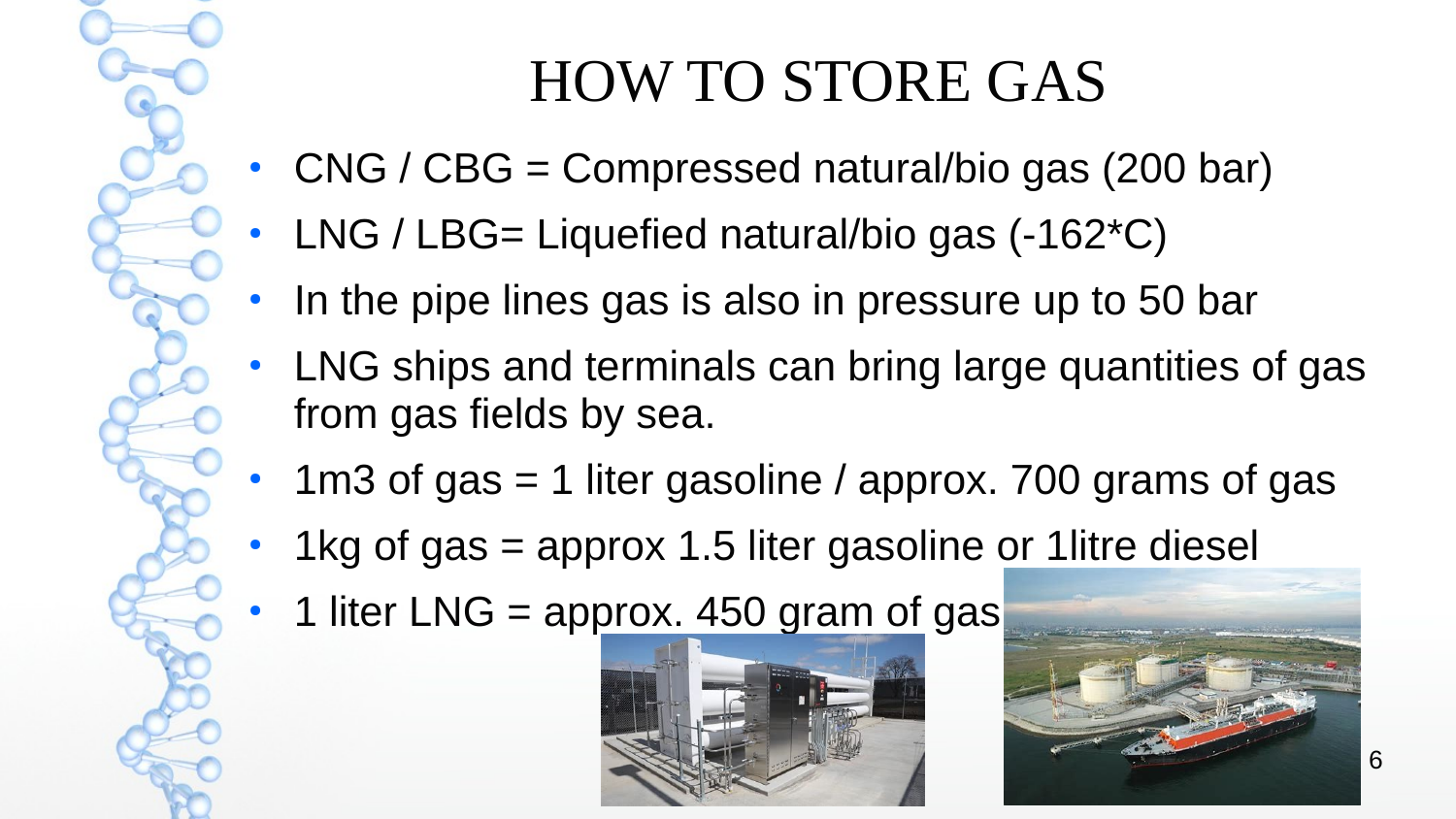## HOW TO STORE GAS

- CNG / CBG = Compressed natural/bio gas (200 bar)
- LNG / LBG= Liquefied natural/bio gas  $(-162*C)$
- In the pipe lines gas is also in pressure up to 50 bar
- LNG ships and terminals can bring large quantities of gas from gas fields by sea.
- 1m3 of gas  $=$  1 liter gasoline / approx. 700 grams of gas
- 1kg of gas  $=$  approx 1.5 liter gasoline or 1 litre diesel
- 1 liter LNG = approx. 450 gram of gas



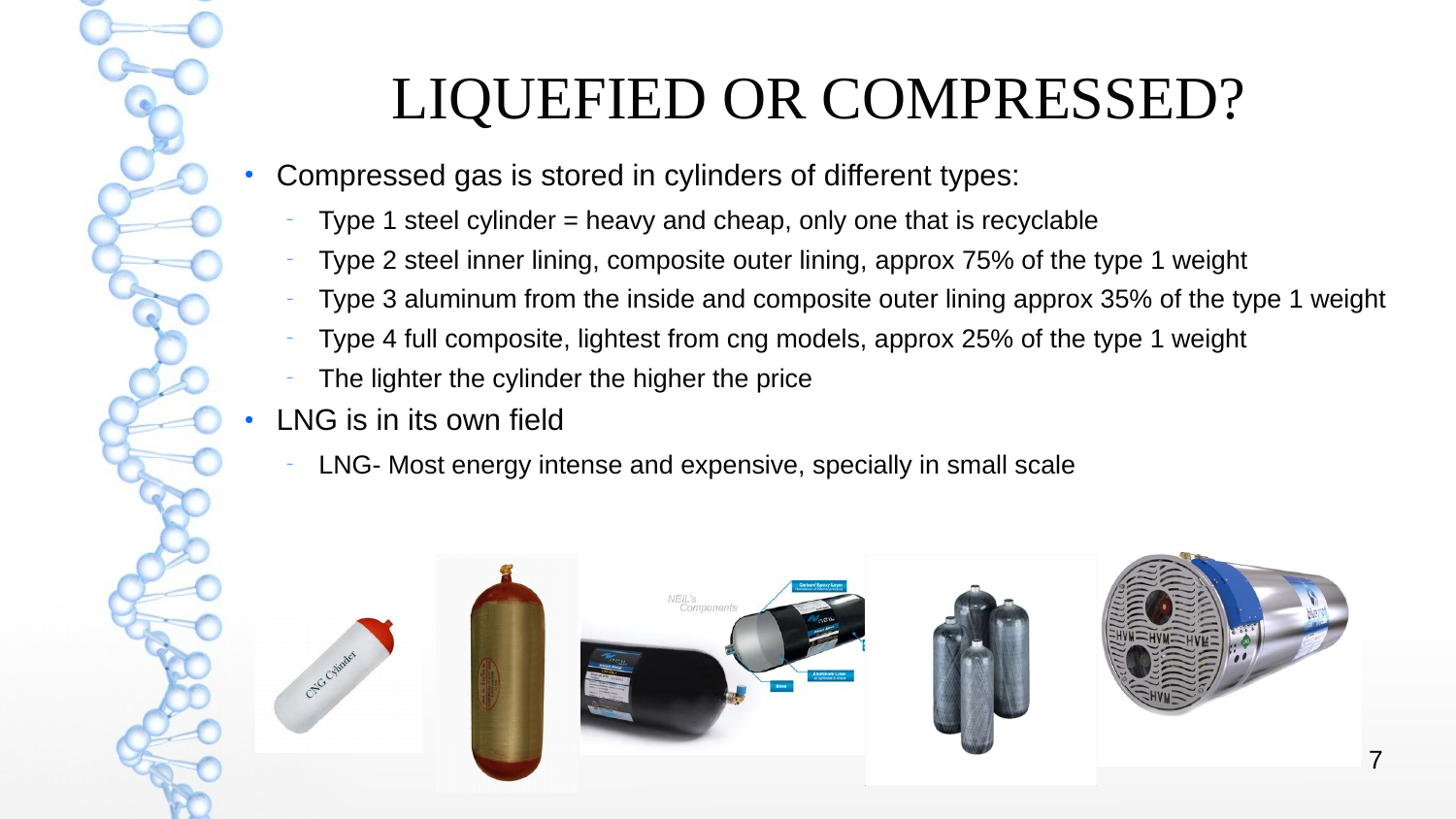# LIQUEFIED OR COMPRESSED?

- Compressed gas is stored in cylinders of different types:
	- Type 1 steel cylinder  $=$  heavy and cheap, only one that is recyclable
	- Type 2 steel inner lining, composite outer lining, approx 75% of the type 1 weight
	- Type 3 aluminum from the inside and composite outer lining approx 35% of the type 1 weight
	- Type 4 full composite, lightest from cng models, approx 25% of the type 1 weight
	- The lighter the cylinder the higher the price
- LNG is in its own field
	- LNG- Most energy intense and expensive, specially in small scale

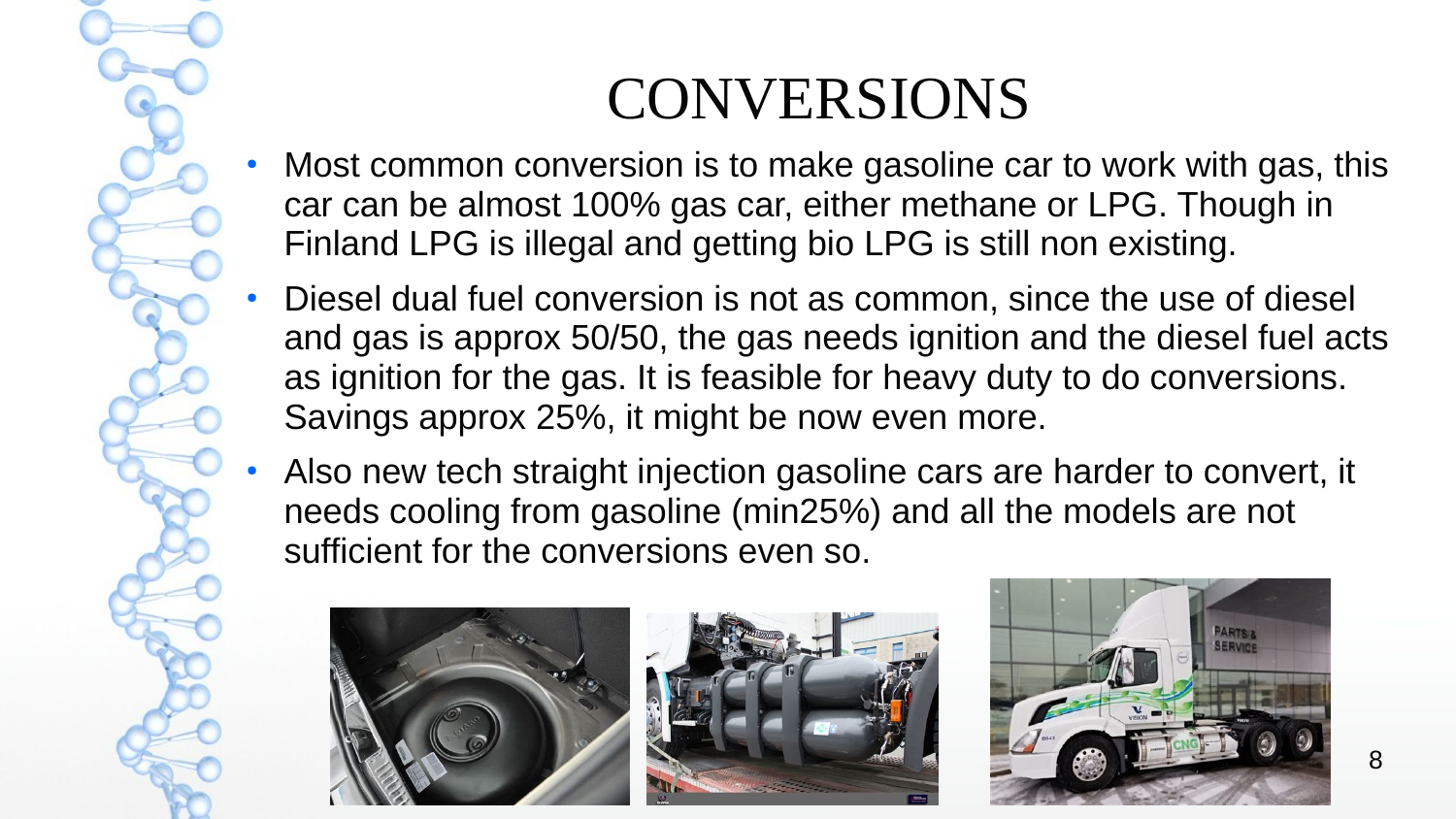

#### CONVERSIONS

- Most common conversion is to make gasoline car to work with gas, this car can be almost 100% gas car, either methane or LPG. Though in Finland LPG is illegal and getting bio LPG is still non existing.
- Diesel dual fuel conversion is not as common, since the use of diesel and gas is approx 50/50, the gas needs ignition and the diesel fuel acts as ignition for the gas. It is feasible for heavy duty to do conversions. Savings approx 25%, it might be now even more.
- Also new tech straight injection gasoline cars are harder to convert, it needs cooling from gasoline (min25%) and all the models are not sufficient for the conversions even so.





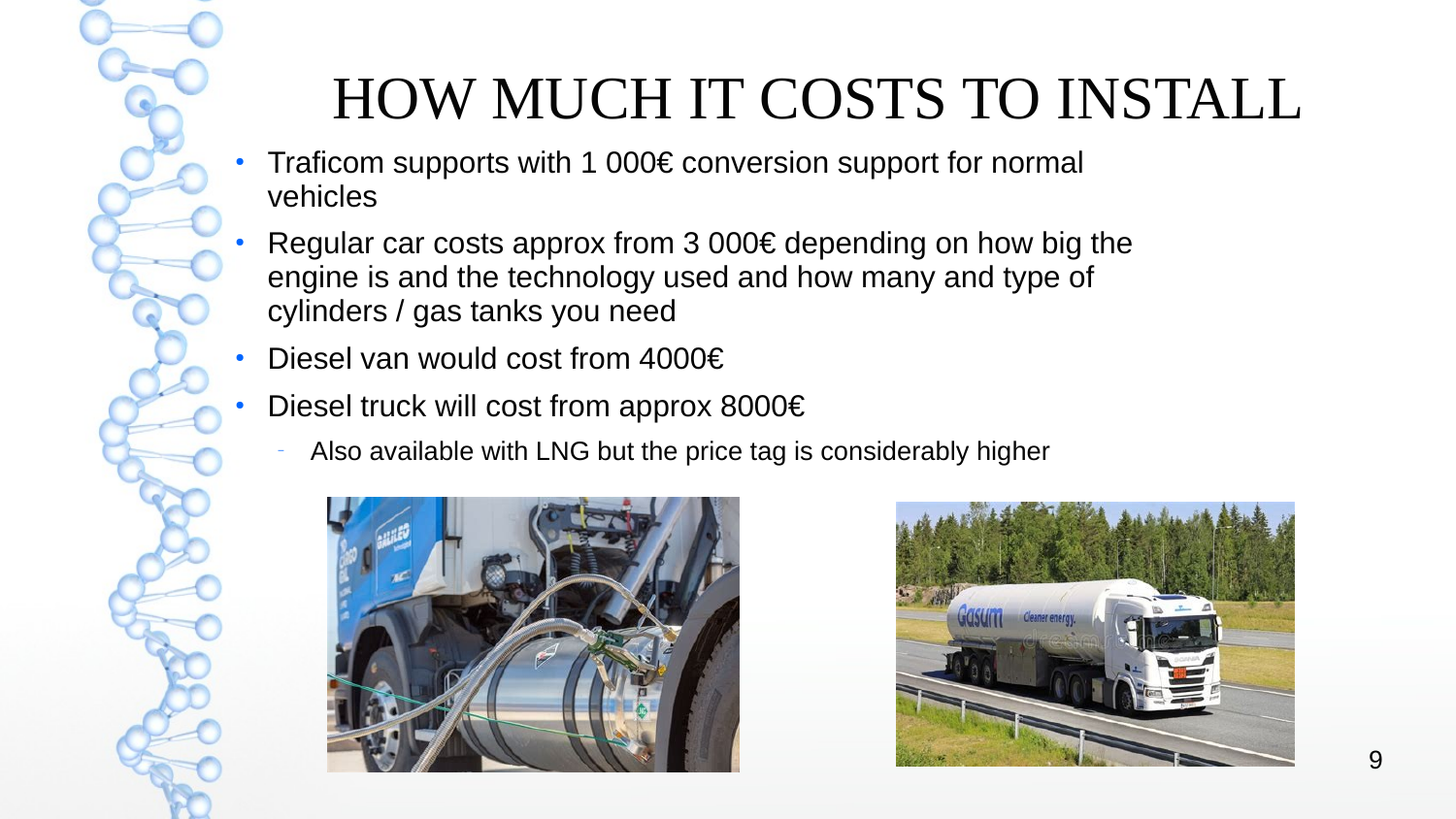# HOW MUCH IT COSTS TO INSTALL

- Traficom supports with 1 000 $\epsilon$  conversion support for normal vehicles
- Regular car costs approx from 3 000 $\epsilon$  depending on how big the engine is and the technology used and how many and type of cylinders / gas tanks you need
- Diesel van would cost from 4000€
- Diesel truck will cost from approx 8000 $\varepsilon$ 
	- Also available with LNG but the price tag is considerably higher



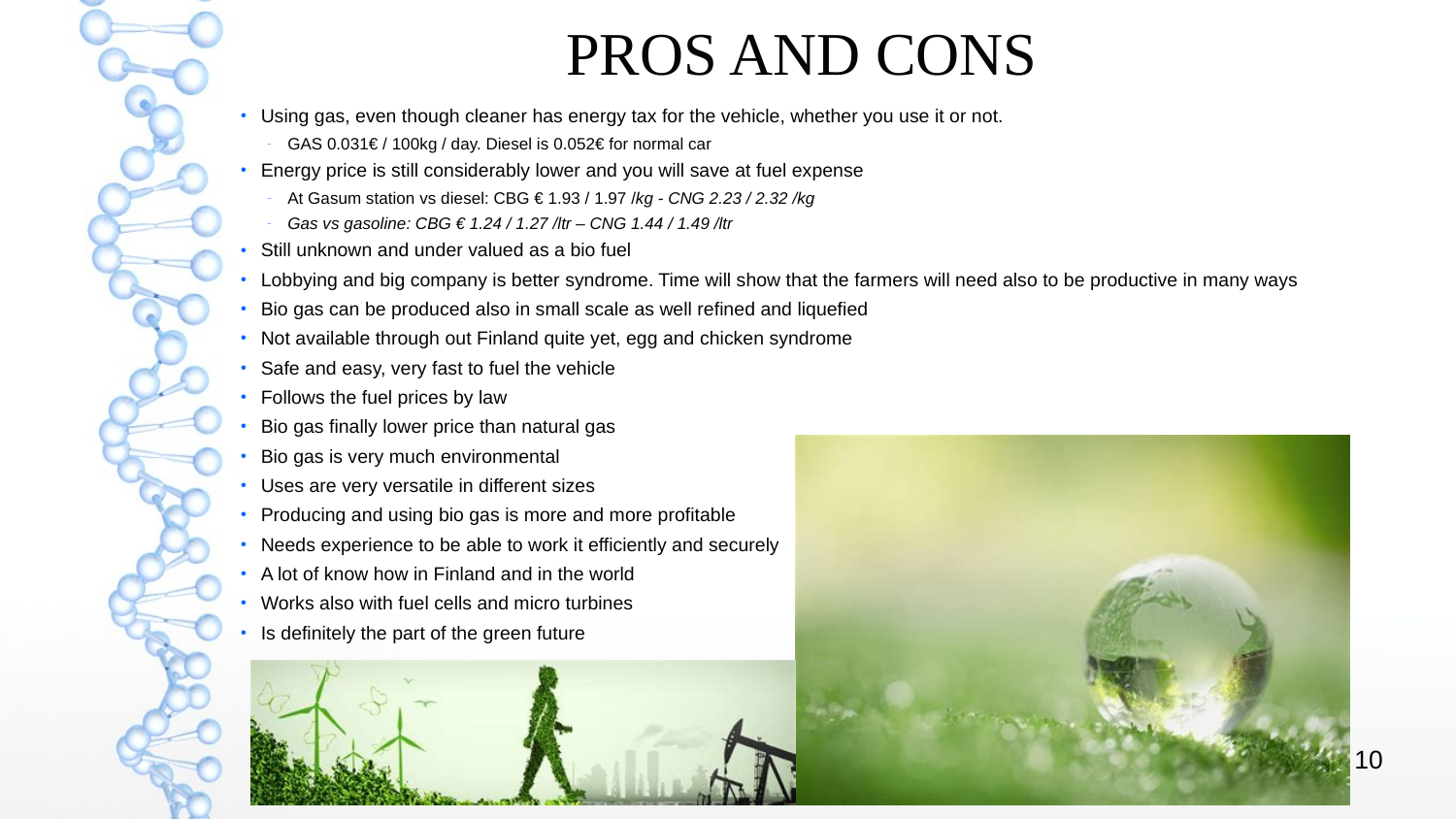#### PROS AND CONS

- Using gas, even though cleaner has energy tax for the vehicle, whether you use it or not.
	- GAS 0.031€ / 100kg / day. Diesel is 0.052€ for normal car
- Energy price is still considerably lower and you will save at fuel expense
	- At Gasum station vs diesel: CBG € 1.93 / 1.97 /*kg CNG 2.23 / 2.32 /kg*
	- *Gas vs gasoline: CBG € 1.24 / 1.27 /ltr CNG 1.44 / 1.49 /ltr*
- Still unknown and under valued as a bio fuel
- Lobbying and big company is better syndrome. Time will show that the farmers will need also to be productive in many ways
- Bio gas can be produced also in small scale as well refined and liquefied
- Not available through out Finland quite yet, egg and chicken syndrome
- Safe and easy, very fast to fuel the vehicle
- Follows the fuel prices by law
- Bio gas finally lower price than natural gas
- Bio gas is very much environmental
- Uses are very versatile in different sizes
- Producing and using bio gas is more and more profitable
- Needs experience to be able to work it efficiently and securely
- $\cdot$  A lot of know how in Finland and in the world
- Works also with fuel cells and micro turbines
- Is definitely the part of the green future